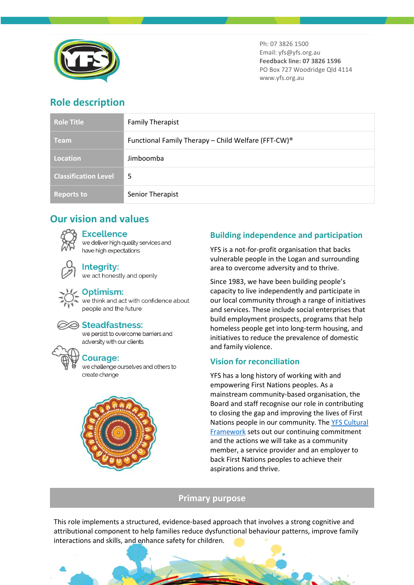

Ph: 07 3826 1500 Email: yfs@yfs.org.au **Feedback line: 07 3826 1596** PO Box 727 Woodridge Qld 4114 www.yfs.org.au

# **Role description**

| <b>Role Title</b>           | <b>Family Therapist</b>                                         |
|-----------------------------|-----------------------------------------------------------------|
| <b>Team</b>                 | Functional Family Therapy - Child Welfare (FFT-CW) <sup>®</sup> |
| <b>Location</b>             | Jimboomba                                                       |
| <b>Classification Level</b> | 5                                                               |
| <b>Reports to</b>           | Senior Therapist                                                |

# **Our vision and values**

### **Excellence**

we deliver high quality services and have high expectations



# **Integrity:**

we act honestly and openly

### Optimism:

we think and act with confidence about people and the future



#### Steadfastness:

we persist to overcome barriers and adversity with our clients

## **Courage:**

we challenge ourselves and others to create change



## **Building independence and participation**

YFS is a not-for-profit organisation that backs vulnerable people in the Logan and surrounding area to overcome adversity and to thrive.

Since 1983, we have been building people's capacity to live independently and participate in our local community through a range of initiatives and services. These include social enterprises that build employment prospects, programs that help homeless people get into long-term housing, and initiatives to reduce the prevalence of domestic and family violence.

## **Vision for reconciliation**

YFS has a long history of working with and empowering First Nations peoples. As a mainstream community-based organisation, the Board and staff recognise our role in contributing to closing the gap and improving the lives of First Nations people in our community. Th[e YFS Cultural](https://www.yfs.org.au/wp-content/uploads/2021/01/PP_YFS_FirstNationsCulturalFramework_BROCHURE_v0_SinglePages.pdf)  [Framework](https://www.yfs.org.au/wp-content/uploads/2021/01/PP_YFS_FirstNationsCulturalFramework_BROCHURE_v0_SinglePages.pdf) sets out our continuing commitment and the actions we will take as a community member, a service provider and an employer to back First Nations peoples to achieve their aspirations and thrive.

### **Primary purpose**

This role implements a structured, evidence-based approach that involves a strong cognitive and attributional component to help families reduce dysfunctional behaviour patterns, improve family interactions and skills, and enhance safety for children.

 $\mathcal{A}$  and the state value of  $\mathcal{A}$  and  $\mathcal{A}$  and  $\mathcal{A}$  becomes 1.0244  $\mathcal{A}$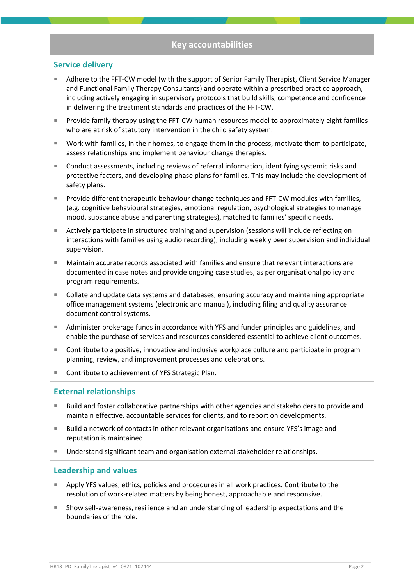#### **Service delivery**

- Adhere to the FFT-CW model (with the support of Senior Family Therapist, Client Service Manager and Functional Family Therapy Consultants) and operate within a prescribed practice approach, including actively engaging in supervisory protocols that build skills, competence and confidence in delivering the treatment standards and practices of the FFT-CW.
- Provide family therapy using the FFT-CW human resources model to approximately eight families who are at risk of statutory intervention in the child safety system.
- Work with families, in their homes, to engage them in the process, motivate them to participate, assess relationships and implement behaviour change therapies.
- Conduct assessments, including reviews of referral information, identifying systemic risks and protective factors, and developing phase plans for families. This may include the development of safety plans.
- **Provide different therapeutic behaviour change techniques and FFT-CW modules with families,** (e.g. cognitive behavioural strategies, emotional regulation, psychological strategies to manage mood, substance abuse and parenting strategies), matched to families' specific needs.
- Actively participate in structured training and supervision (sessions will include reflecting on interactions with families using audio recording), including weekly peer supervision and individual supervision.
- Maintain accurate records associated with families and ensure that relevant interactions are documented in case notes and provide ongoing case studies, as per organisational policy and program requirements.
- Collate and update data systems and databases, ensuring accuracy and maintaining appropriate office management systems (electronic and manual), including filing and quality assurance document control systems.
- Administer brokerage funds in accordance with YFS and funder principles and guidelines, and enable the purchase of services and resources considered essential to achieve client outcomes.
- **Contribute to a positive, innovative and inclusive workplace culture and participate in program** planning, review, and improvement processes and celebrations.
- Contribute to achievement of YFS Strategic Plan.

#### **External relationships**

- Build and foster collaborative partnerships with other agencies and stakeholders to provide and maintain effective, accountable services for clients, and to report on developments.
- Build a network of contacts in other relevant organisations and ensure YFS's image and reputation is maintained.
- Understand significant team and organisation external stakeholder relationships.

#### **Leadership and values**

- Apply YFS values, ethics, policies and procedures in all work practices. Contribute to the resolution of work-related matters by being honest, approachable and responsive.
- Show self-awareness, resilience and an understanding of leadership expectations and the boundaries of the role.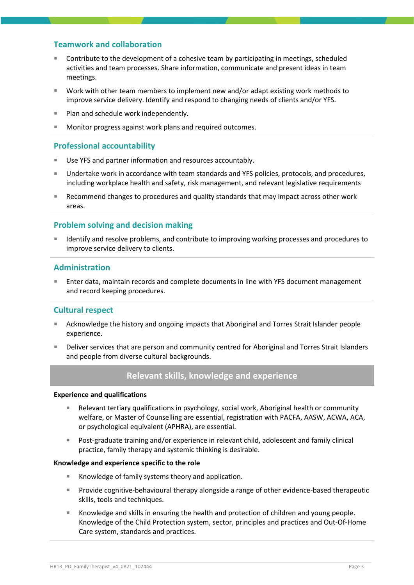### **Teamwork and collaboration**

- Contribute to the development of a cohesive team by participating in meetings, scheduled activities and team processes. Share information, communicate and present ideas in team meetings.
- Work with other team members to implement new and/or adapt existing work methods to improve service delivery. Identify and respond to changing needs of clients and/or YFS.
- Plan and schedule work independently.
- Monitor progress against work plans and required outcomes.

#### **Professional accountability**

- Use YFS and partner information and resources accountably.
- Undertake work in accordance with team standards and YFS policies, protocols, and procedures, including workplace health and safety, risk management, and relevant legislative requirements
- Recommend changes to procedures and quality standards that may impact across other work areas.

#### **Problem solving and decision making**

 Identify and resolve problems, and contribute to improving working processes and procedures to improve service delivery to clients.

#### **Administration**

 Enter data, maintain records and complete documents in line with YFS document management and record keeping procedures.

#### **Cultural respect**

- Acknowledge the history and ongoing impacts that Aboriginal and Torres Strait Islander people experience.
- Deliver services that are person and community centred for Aboriginal and Torres Strait Islanders and people from diverse cultural backgrounds.

#### **Relevant skills, knowledge and experience**

#### **Experience and qualifications**

- Relevant tertiary qualifications in psychology, social work, Aboriginal health or community welfare, or Master of Counselling are essential, registration with PACFA, AASW, ACWA, ACA, or psychological equivalent (APHRA), are essential.
- Post-graduate training and/or experience in relevant child, adolescent and family clinical practice, family therapy and systemic thinking is desirable.

#### **Knowledge and experience specific to the role**

- Knowledge of family systems theory and application.
- **Provide cognitive-behavioural therapy alongside a range of other evidence-based therapeutic** skills, tools and techniques.
- Knowledge and skills in ensuring the health and protection of children and young people. Knowledge of the Child Protection system, sector, principles and practices and Out-Of-Home Care system, standards and practices.